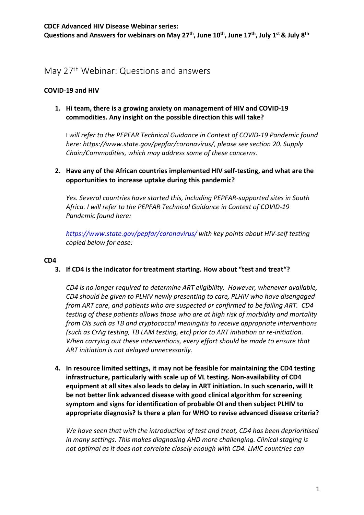# May 27th Webinar: Questions and answers

# **COVID-19 and HIV**

# **commodities. Any insight on the possible direction this will take? 1. Hi team, there is a growing anxiety on management of HIV and COVID-19**

 *here: [https://www.state.gov/pepfar/coronavirus/,](https://www.state.gov/pepfar/coronavirus/) please see section 20. Supply*  I *will refer to the PEPFAR Technical Guidance in Context of COVID-19 Pandemic found Chain/Commodities, which may address some of these concerns.* 

# **2. Have any of the African countries implemented HIV self-testing, and what are the opportunities to increase uptake during this pandemic?**

*Yes. Several countries have started this, including PEPFAR-supported sites in South Africa. I will refer to the PEPFAR Technical Guidance in Context of COVID-19 Pandemic found here:* 

*<https://www.state.gov/pepfar/coronavirus/>with key points about HIV-self testing copied below for ease:* 

## **CD4**

## **3. If CD4 is the indicator for treatment starting. How about "test and treat"?**

 *testing of these patients allows those who are at high risk of morbidity and mortality CD4 is no longer required to determine ART eligibility. However, whenever available, CD4 should be given to PLHIV newly presenting to care, PLHIV who have disengaged from ART care, and patients who are suspected or confirmed to be failing ART. CD4 from OIs such as TB and cryptococcal meningitis to receive appropriate interventions (such as CrAg testing, TB LAM testing, etc) prior to ART initiation or re-initiation. When carrying out these interventions, every effort should be made to ensure that ART initiation is not delayed unnecessarily.* 

 **4. In resource limited settings, it may not be feasible for maintaining the CD4 testing infrastructure, particularly with scale up of VL testing. Non-availability of CD4 equipment at all sites also leads to delay in ART initiation. In such scenario, will It be not better link advanced disease with good clinical algorithm for screening symptom and signs for identification of probable OI and then subject PLHIV to appropriate diagnosis? Is there a plan for WHO to revise advanced disease criteria?** 

*We have seen that with the introduction of test and treat, CD4 has been deprioritised in many settings. This makes diagnosing AHD more challenging. Clinical staging is not optimal as it does not correlate closely enough with CD4. LMIC countries can*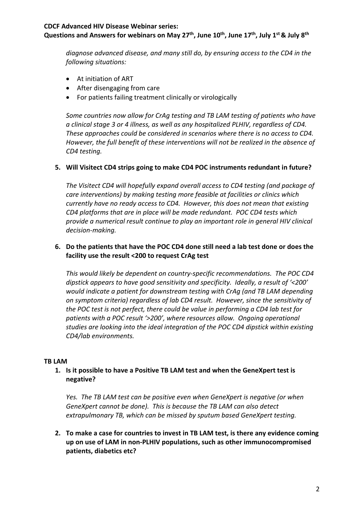Questions and Answers for webinars on May 27<sup>th</sup>, June 10<sup>th</sup>, June 17<sup>th</sup>, July 1<sup>st</sup> & July 8<sup>th</sup>

 *diagnose advanced disease, and many still do, by ensuring access to the CD4 in the following situations:* 

- At initiation of ART
- After disengaging from care
- For patients failing treatment clinically or virologically

a clinical stage 3 or 4 illness, as well as any hospitalized PLHIV, regardless of CD4. These approaches could be considered in scenarios where there is no access to CD4. *Some countries now allow for CrAg testing and TB LAM testing of patients who have*  However, the full benefit of these interventions will not be realized in the absence of *CD4 testing.* 

## **5. Will Visitect CD4 strips going to make CD4 POC instruments redundant in future?**

*The Visitect CD4 will hopefully expand overall access to CD4 testing (and package of care interventions) by making testing more feasible at facilities or clinics which currently have no ready access to CD4. However, this does not mean that existing CD4 platforms that are in place will be made redundant. POC CD4 tests which provide a numerical result continue to play an important role in general HIV clinical decision-making.* 

## **6. Do the patients that have the POC CD4 done still need a lab test done or does the facility use the result <200 to request CrAg test**

 *dipstick appears to have good sensitivity and specificity. Ideally, a result of '<200' This would likely be dependent on country-specific recommendations. The POC CD4 would indicate a patient for downstream testing with CrAg (and TB LAM depending on symptom criteria) regardless of lab CD4 result. However, since the sensitivity of the POC test is not perfect, there could be value in performing a CD4 lab test for patients with a POC result '>200', where resources allow. Ongoing operational studies are looking into the ideal integration of the POC CD4 dipstick within existing CD4/lab environments.* 

#### **TB LAM**

## **1. Is it possible to have a Positive TB LAM test and when the GeneXpert test is negative?**

*Yes. The TB LAM test can be positive even when GeneXpert is negative (or when GeneXpert cannot be done). This is because the TB LAM can also detect extrapulmonary TB, which can be missed by sputum based GeneXpert testing.* 

**2. To make a case for countries to invest in TB LAM test, is there any evidence coming up on use of LAM in non-PLHIV populations, such as other immunocompromised patients, diabetics etc?**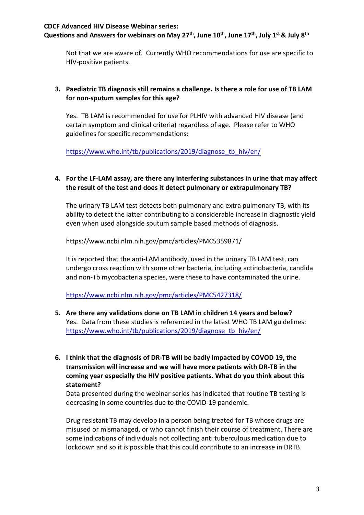Questions and Answers for webinars on May 27<sup>th</sup>, June 10<sup>th</sup>, June 17<sup>th</sup>, July 1<sup>st</sup> & July 8<sup>th</sup>

 Not that we are aware of. Currently WHO recommendations for use are specific to HIV-positive patients.

# **3. Paediatric TB diagnosis still remains a challenge. Is there a role for use of TB LAM for non-sputum samples for this age?**

 Yes. TB LAM is recommended for use for PLHIV with advanced HIV disease (and certain symptom and clinical criteria) regardless of age. Please refer to WHO guidelines for specific recommendations:

https://www.who.int/tb/publications/2019/diagnose\_tb\_hiv/en/

## **4. For the LF-LAM assay, are there any interfering substances in urine that may affect the result of the test and does it detect pulmonary or extrapulmonary TB?**

 even when used alongside sputum sample based methods of diagnosis. The urinary TB LAM test detects both pulmonary and extra pulmonary TB, with its ability to detect the latter contributing to a considerable increase in diagnostic yield

[https://www.ncbi.nlm.nih.gov/pmc/articles/PMC5359871/](https://www.ncbi.nlm.nih.gov/pmc/articles/PMC5359871)

It is reported that the anti-LAM antibody, used in the urinary TB LAM test, can undergo cross reaction with some other bacteria, including actinobacteria, candida and non-Tb mycobacteria species, were these to have contaminated the urine.

<https://www.ncbi.nlm.nih.gov/pmc/articles/PMC5427318/>

- **5. Are there any validations done on TB LAM in children 14 years and below?**  Yes. Data from these studies is referenced in the latest WHO TB LAM guidelines: https://www.who.int/tb/publications/2019/diagnose\_tb\_hiv/en/
- **6. I think that the diagnosis of DR-TB will be badly impacted by COVOD 19, the transmission will increase and we will have more patients with DR-TB in the coming year especially the HIV positive patients. What do you think about this statement?**

decreasing in some countries due to the COVID-19 pandemic. Data presented during the webinar series has indicated that routine TB testing is

decreasing in some countries due to the COVID-19 pandemic.<br>Drug resistant TB may develop in a person being treated for TB whose drugs are misused or mismanaged, or who cannot finish their course of treatment. There are some indications of individuals not collecting anti tuberculous medication due to lockdown and so it is possible that this could contribute to an increase in DRTB.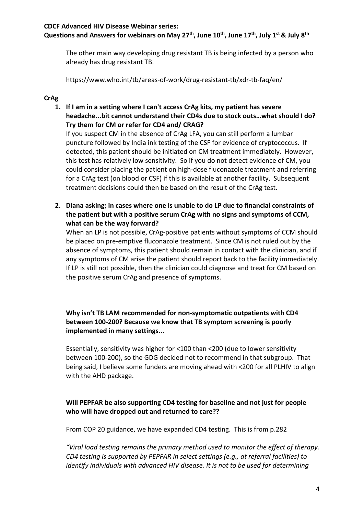Questions and Answers for webinars on May 27<sup>th</sup>, June 10<sup>th</sup>, June 17<sup>th</sup>, July 1<sup>st</sup> & July 8<sup>th</sup>

The other main way developing drug resistant TB is being infected by a person who already has drug resistant TB.

<https://www.who.int/tb/areas-of-work/drug-resistant-tb/xdr-tb-faq/en>/

# **CrAg**

**1. If I am in a setting where I can't access CrAg kits, my patient has severe headache...bit cannot understand their CD4s due to stock outs…what should I do? Try them for CM or refer for CD4 and/ CRAG?** 

If you suspect CM in the absence of CrAg LFA, you can still perform a lumbar puncture followed by India ink testing of the CSF for evidence of cryptococcus. If detected, this patient should be initiated on CM treatment immediately. However, this test has relatively low sensitivity. So if you do not detect evidence of CM, you could consider placing the patient on high-dose fluconazole treatment and referring for a CrAg test (on blood or CSF) if this is available at another facility. Subsequent treatment decisions could then be based on the result of the CrAg test.

**2. Diana asking; in cases where one is unable to do LP due to financial constraints of the patient but with a positive serum CrAg with no signs and symptoms of CCM, what can be the way forward?** 

any symptoms of CM arise the patient should report back to the facility immediately. When an LP is not possible, CrAg-positive patients without symptoms of CCM should be placed on pre-emptive fluconazole treatment. Since CM is not ruled out by the absence of symptoms, this patient should remain in contact with the clinician, and if If LP is still not possible, then the clinician could diagnose and treat for CM based on the positive serum CrAg and presence of symptoms.

# **Why isn't TB LAM recommended for non-symptomatic outpatients with CD4 between 100-200? Because we know that TB symptom screening is poorly implemented in many settings...**

 between 100-200), so the GDG decided not to recommend in that subgroup. That being said, I believe some funders are moving ahead with <200 for all PLHIV to align Essentially, sensitivity was higher for <100 than <200 (due to lower sensitivity with the AHD package.

# **Will PEPFAR be also supporting CD4 testing for baseline and not just for people who will have dropped out and returned to care??**

From COP 20 guidance, we have expanded CD4 testing. This is from p.282

*"Viral load testing remains the primary method used to monitor the effect of therapy. CD4 testing is supported by PEPFAR in select settings (e.g., at referral facilities) to identify individuals with advanced HIV disease. It is not to be used for determining*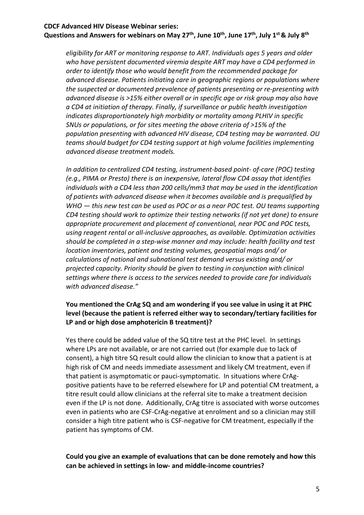Questions and Answers for webinars on May 27<sup>th</sup>, June 10<sup>th</sup>, June 17<sup>th</sup>, July 1<sup>st</sup> & July 8<sup>th</sup>

*eligibility for ART or monitoring response to ART. Individuals ages 5 years and older who have persistent documented viremia despite ART may have a CD4 performed in order to identify those who would benefit from the recommended package for advanced disease. Patients initiating care in geographic regions or populations where the suspected or documented prevalence of patients presenting or re-presenting with advanced disease is >15% either overall or in specific age or risk group may also have a CD4 at initiation of therapy. Finally, if surveillance or public health investigation indicates disproportionately high morbidity or mortality among PLHIV in specific SNUs or populations, or for sites meeting the above criteria of >15% of the population presenting with advanced HIV disease, CD4 testing may be warranted. OU teams should budget for CD4 testing support at high volume facilities implementing advanced disease treatment models.* 

WHO  $-$  this new test can be used as POC or as a near POC test. OU teams supporting *In addition to centralized CD4 testing, instrument-based point- of-care (POC) testing (e.g., PIMA or Presto) there is an inexpensive, lateral flow CD4 assay that identifies individuals with a CD4 less than 200 cells/mm3 that may be used in the identification of patients with advanced disease when it becomes available and is prequalified by CD4 testing should work to optimize their testing networks (if not yet done) to ensure appropriate procurement and placement of conventional, near POC and POC tests, using reagent rental or all-inclusive approaches, as available. Optimization activities should be completed in a step-wise manner and may include: health facility and test location inventories, patient and testing volumes, geospatial maps and/ or calculations of national and subnational test demand versus existing and/ or projected capacity. Priority should be given to testing in conjunction with clinical settings where there is access to the services needed to provide care for individuals with advanced disease."* 

## **You mentioned the CrAg SQ and am wondering if you see value in using it at PHC level (because the patient is referred either way to secondary/tertiary facilities for LP and or high dose amphotericin B treatment)?**

Yes there could be added value of the SQ titre test at the PHC level. In settings where LPs are not available, or are not carried out (for example due to lack of consent), a high titre SQ result could allow the clinician to know that a patient is at high risk of CM and needs immediate assessment and likely CM treatment, even if that patient is asymptomatic or pauci-symptomatic. In situations where CrAgpositive patients have to be referred elsewhere for LP and potential CM treatment, a titre result could allow clinicians at the referral site to make a treatment decision even if the LP is not done. Additionally, CrAg titre is associated with worse outcomes even in patients who are CSF-CrAg-negative at enrolment and so a clinician may still consider a high titre patient who is CSF-negative for CM treatment, especially if the patient has symptoms of CM.

# **Could you give an example of evaluations that can be done remotely and how this can be achieved in settings in low- and middle-income countries?**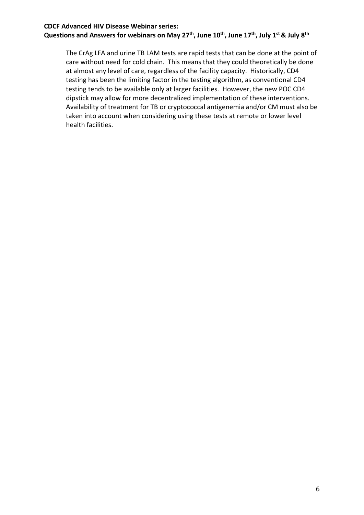Questions and Answers for webinars on May 27<sup>th</sup>, June 10<sup>th</sup>, June 17<sup>th</sup>, July 1<sup>st</sup> & July 8<sup>th</sup>

dipstick may allow for more decentralized implementation of these interventions. The CrAg LFA and urine TB LAM tests are rapid tests that can be done at the point of care without need for cold chain. This means that they could theoretically be done at almost any level of care, regardless of the facility capacity. Historically, CD4 testing has been the limiting factor in the testing algorithm, as conventional CD4 testing tends to be available only at larger facilities. However, the new POC CD4 Availability of treatment for TB or cryptococcal antigenemia and/or CM must also be taken into account when considering using these tests at remote or lower level health facilities.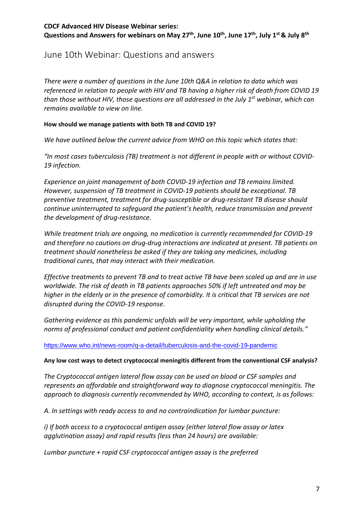# June 10th Webinar: Questions and answers

 *referenced in relation to people with HIV and TB having a higher risk of death from COVID 19 There were a number of questions in the June 10th Q&A in relation to data which was than those without HIV, those questions are all addressed in the July 1st webinar, which can remains available to view on line.* 

## **How should we manage patients with both TB and COVID 19?**

 *We have outlined below the current advice from WHO on this topic which states that:* 

 *"In most cases tuberculosis (TB) treatment is not different in people with or without COVID-*19 infection.

the development of drug-resistance. *19 infection. Experience on joint management of both COVID-19 infection and TB remains limited. However, suspension of TB treatment in COVID-19 patients should be exceptional. TB preventive treatment, treatment for drug-susceptible or drug-resistant TB disease should continue uninterrupted to safeguard the patient's health, reduce transmission and prevent* 

*While treatment trials are ongoing, no medication is currently recommended for COVID-19 and therefore no cautions on drug-drug interactions are indicated at present. TB patients on treatment should nonetheless be asked if they are taking any medicines, including traditional cures, that may interact with their medication.* 

disrupted during the COVID-19 response. *Effective treatments to prevent TB and to treat active TB have been scaled up and are in use worldwide. The risk of death in TB patients approaches 50% if left untreated and may be higher in the elderly or in the presence of comorbidity. It is critical that TB services are not* 

Gathering evidence as this pandemic unfolds will be very important, while upholding the *norms of professional conduct and patient confidentiality when handling clinical details."* 

#### <https://www.who.int/news-room/q-a-detail/tuberculosis-and-the-covid-19-pandemic>

#### **Any low cost ways to detect cryptococcal meningitis different from the conventional CSF analysis?**

*The Cryptococcal antigen lateral flow assay can be used on blood or CSF samples and represents an affordable and straightforward way to diagnose cryptococcal meningitis. The approach to diagnosis currently recommended by WHO, according to context, is as follows:* 

*A. In settings with ready access to and no contraindication for lumbar puncture:* 

*i) If both access to a cryptococcal antigen assay (either lateral flow assay or latex agglutination assay) and rapid results (less than 24 hours) are available:* 

*Lumbar puncture + rapid CSF cryptococcal antigen assay is the preferred*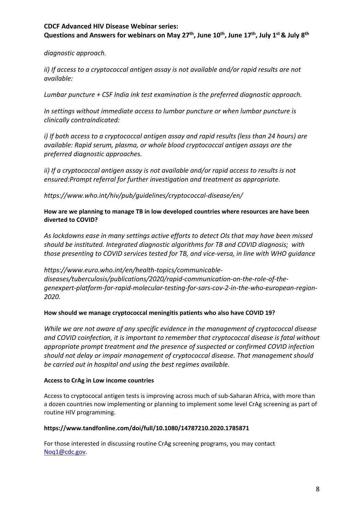Questions and Answers for webinars on May 27<sup>th</sup>, June 10<sup>th</sup>, June 17<sup>th</sup>, July 1<sup>st</sup> & July 8<sup>th</sup>

*diagnostic approach.* 

*ii) If access to a cryptococcal antigen assay is not available and/or rapid results are not available:* 

*Lumbar puncture + CSF India ink test examination is the preferred diagnostic approach.* 

*In settings without immediate access to lumbar puncture or when lumbar puncture is clinically contraindicated:* 

*i) If both access to a cryptococcal antigen assay and rapid results (less than 24 hours) are available: Rapid serum, plasma, or whole blood cryptococcal antigen assays are the preferred diagnostic approaches.* 

*ii) If a cryptococcal antigen assay is not available and/or rapid access to results is not ensured:Prompt referral for further investigation and treatment as appropriate.* 

*[https://www.who.int/hiv/pub/guidelines/cryptococcal-disease/en/](https://www.who.int/hiv/pub/guidelines/cryptococcal-disease/en)* 

#### **How are we planning to manage TB in low developed countries where resources are have been diverted to COVID?**

*As lockdowns ease in many settings active efforts to detect OIs that may have been missed should be instituted. Integrated diagnostic algorithms for TB and COVID diagnosis; with those presenting to COVID services tested for TB, and vice-versa, in line with WHO guidance* 

*<https://www.euro.who.int/en/health-topics/communicable>diseases/tuberculosis/publications/2020/rapid-communication-on-the-role-of-thegenexpert-platform-for-rapid-molecular-testing-for-sars-cov-2-in-the-who-european-region-2020.* 

#### **How should we manage cryptococcal meningitis patients who also have COVID 19?**

*While we are not aware of any specific evidence in the management of cryptococcal disease and COVID coinfection, it is important to remember that cryptococcal disease is fatal without appropriate prompt treatment and the presence of suspected or confirmed COVID infection should not delay or impair management of cryptococcal disease. That management should be carried out in hospital and using the best regimes available.* 

#### **Access to CrAg in Low income countries**

 a dozen countries now implementing or planning to implement some level CrAg screening as part of routine HIV programming. Access to cryptococal antigen tests is improving across much of sub-Saharan Africa, with more than

#### **<https://www.tandfonline.com/doi/full/10.1080/14787210.2020.1785871>**

 For those interested in discussing routine CrAg screening programs, you may contact [Noq1@cdc.gov.](mailto:Noq1@cdc.gov)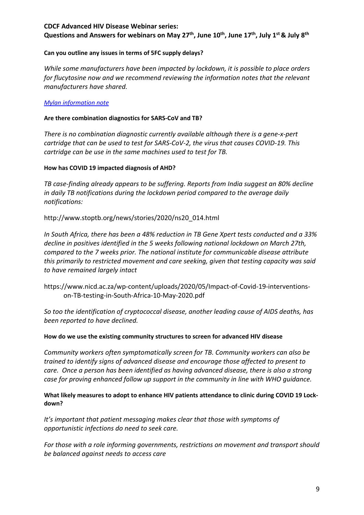Questions and Answers for webinars on May 27<sup>th</sup>, June 10<sup>th</sup>, June 17<sup>th</sup>, July 1<sup>st</sup> & July 8<sup>th</sup>

#### **Can you outline any issues in terms of 5FC supply delays?**

*While some manufacturers have been impacted by lockdown, it is possible to place orders for flucytosine now and we recommend reviewing the information notes that the relevant manufacturers have shared.* 

#### *[Mylan information note](https://iecho.unm.edu/sites/unm/download.hns?i=26093)*

#### **Are there combination diagnostics for SARS-CoV and TB?**

*There is no combination diagnostic currently available although there is a gene-x-pert cartridge that can be used to test for SARS-CoV-2, the virus that causes COVID-19. This cartridge can be use in the same machines used to test for TB.* 

#### **How has COVID 19 impacted diagnosis of AHD?**

*TB case-finding already appears to be suffering. Reports from India suggest an 80% decline in daily TB notifications during the lockdown period compared to the average daily notifications:* 

#### [http://www.stoptb.org/news/stories/2020/ns20\\_014.html](http://www.stoptb.org/news/stories/2020/ns20_014.html)

*In South Africa, there has been a 48% reduction in TB Gene Xpert tests conducted and a 33% decline in positives identified in the 5 weeks following national lockdown on March 27th, compared to the 7 weeks prior. The national institute for communicable disease attribute this primarily to restricted movement and care seeking, given that testing capacity was said to have remained largely intact* 

<https://www.nicd.ac.za/wp-content/uploads/2020/05/Impact-of-Covid-19-interventions>on-TB-testing-in-South-Africa-10-May-2020.pdf

*So too the identification of cryptococcal disease, another leading cause of AIDS deaths, has been reported to have declined.* 

#### **How do we use the existing community structures to screen for advanced HIV disease**

 *trained to identify signs of advanced disease and encourage those affected to present to case for proving enhanced follow up support in the community in line with WHO guidance. Community workers often symptomatically screen for TB. Community workers can also be care. Once a person has been identified as having advanced disease, there is also a strong* 

#### **What likely measures to adopt to enhance HIV patients attendance to clinic during COVID 19 Lockdown?**

*It's important that patient messaging makes clear that those with symptoms of opportunistic infections do need to seek care.* 

*For those with a role informing governments, restrictions on movement and transport should be balanced against needs to access care*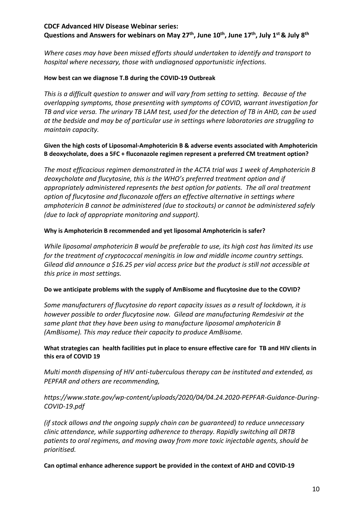Questions and Answers for webinars on May 27<sup>th</sup>, June 10<sup>th</sup>, June 17<sup>th</sup>, July 1<sup>st</sup> & July 8<sup>th</sup>

*Where cases may have been missed efforts should undertaken to identify and transport to hospital where necessary, those with undiagnosed opportunistic infections.* 

### **How best can we diagnose T.B during the COVID-19 Outbreak**

 *This is a difficult question to answer and will vary from setting to setting. Because of the overlapping symptoms, those presenting with symptoms of COVID, warrant investigation for TB and vice versa. The urinary TB LAM test, used for the detection of TB in AHD, can be used at the bedside and may be of particular use in settings where laboratories are struggling to maintain capacity.* 

### **Given the high costs of Liposomal-Amphotericin B & adverse events associated with Amphotericin B deoxycholate, does a 5FC + fluconazole regimen represent a preferred CM treatment option?**

*The most efficacious regimen demonstrated in the ACTA trial was 1 week of Amphotericin B deoxycholate and flucytosine, this is the WHO's preferred treatment option and if appropriately administered represents the best option for patients. The all oral treatment option of flucytosine and fluconazole offers an effective alternative in settings where amphotericin B cannot be administered (due to stockouts) or cannot be administered safely (due to lack of appropriate monitoring and support).* 

## **Why is Amphotericin B recommended and yet liposomal Amphotericin is safer?**

 *While liposomal amphotericin B would be preferable to use, its high cost has limited its use for the treatment of cryptococcal meningitis in low and middle income country settings. Gilead did announce a \$16.25 per vial access price but the product is still not accessible at this price in most settings.* 

#### **Do we anticipate problems with the supply of AmBisome and flucytosine due to the COVID?**

 *however possible to order flucytosine now. Gilead are manufacturing Remdesivir at the Some manufacturers of flucytosine do report capacity issues as a result of lockdown, it is same plant that they have been using to manufacture liposomal amphotericin B (AmBisome). This may reduce their capacity to produce AmBisome.* 

## **What strategies can health facilities put in place to ensure effective care for TB and HIV clients in this era of COVID 19**

*Multi month dispensing of HIV anti-tuberculous therapy can be instituted and extended, as PEPFAR and others are recommending,* 

# *[https://www.state.gov/wp-content/uploads/2020/04/04.24.2020-PEPFAR-Guidance-During-](https://www.state.gov/wp-content/uploads/2020/04/04.24.2020-PEPFAR-Guidance-During)COVID-19.pdf*

*(if stock allows and the ongoing supply chain can be guaranteed) to reduce unnecessary clinic attendance, while supporting adherence to therapy. Rapidly switching all DRTB patients to oral regimens, and moving away from more toxic injectable agents, should be prioritised.* 

 **Can optimal enhance adherence support be provided in the context of AHD and COVID-19**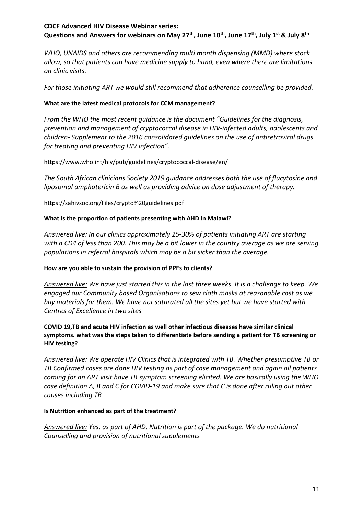Questions and Answers for webinars on May 27<sup>th</sup>, June 10<sup>th</sup>, June 17<sup>th</sup>, July 1<sup>st</sup> & July 8<sup>th</sup>

 *WHO, UNAIDS and others are recommending multi month dispensing (MMD) where stock allow, so that patients can have medicine supply to hand, even where there are limitations on clinic visits.* 

*For those initiating ART we would still recommend that adherence counselling be provided.* 

## **What are the latest medical protocols for CCM management?**

*From the WHO the most recent guidance is the document "Guidelines for the diagnosis, prevention and management of cryptococcal disease in HIV-infected adults, adolescents and children- Supplement to the 2016 consolidated guidelines on the use of antiretroviral drugs for treating and preventing HIV infection".* 

<https://www.who.int/hiv/pub/guidelines/cryptococcal-disease/en>/

*The South African clinicians Society 2019 guidance addresses both the use of flucytosine and liposomal amphotericin B as well as providing advice on dose adjustment of therapy.* 

<https://sahivsoc.org/Files/crypto%20guidelines.pdf>

## **What is the proportion of patients presenting with AHD in Malawi?**

*Answered live: In our clinics approximately 25-30% of patients initiating ART are starting with a CD4 of less than 200. This may be a bit lower in the country average as we are serving populations in referral hospitals which may be a bit sicker than the average.* 

## **How are you able to sustain the provision of PPEs to clients?**

*Answered live: We have just started this in the last three weeks. It is a challenge to keep. We engaged our Community based Organisations to sew cloth masks at reasonable cost as we buy materials for them. We have not saturated all the sites yet but we have started with Centres of Excellence in two sites* 

#### **COVID 19,TB and acute HIV infection as well other infectious diseases have similar clinical symptoms. what was the steps taken to differentiate before sending a patient for TB screening or HIV testing?**

*Answered live: We operate HIV Clinics that is integrated with TB. Whether presumptive TB or TB Confirmed cases are done HIV testing as part of case management and again all patients coming for an ART visit have TB symptom screening elicited. We are basically using the WHO case definition A, B and C for COVID-19 and make sure that C is done after ruling out other causes including TB* 

#### **Is Nutrition enhanced as part of the treatment?**

*Answered live: Yes, as part of AHD, Nutrition is part of the package. We do nutritional Counselling and provision of nutritional supplements*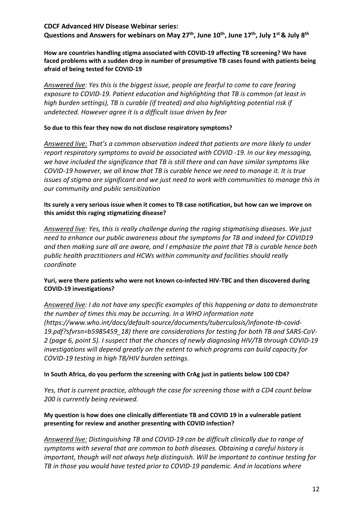**How are countries handling stigma associated with COVID-19 affecting TB screening? We have faced problems with a sudden drop in number of presumptive TB cases found with patients being afraid of being tested for COVID-19** 

*Answered live: Yes this is the biggest issue, people are fearful to come to care fearing exposure to COVID-19. Patient education and highlighting that TB is common (at least in high burden settings), TB is curable (if treated) and also highlighting potential risk if undetected. However agree it is a difficult issue driven by fear* 

#### **So due to this fear they now do not disclose respiratory symptoms?**

 *Answered live: That's a common observation indeed that patients are more likely to under report respiratory symptoms to avoid be associated with COVID -19. In our key messaging, we have included the significance that TB is still there and can have similar symptoms like COVID-19 however, we all know that TB is curable hence we need to manage it. It is true issues of stigma are significant and we just need to work with communities to manage this in our community and public sensitization* 

 **Its surely a very serious issue when it comes to TB case notification, but how can we improve on this amidst this raging stigmatizing disease?** 

*Answered live: Yes, this is really challenge during the raging stigmatising diseases. We just need to enhance our public awareness about the symptoms for TB and indeed for COVID19 and then making sure all are aware, and I emphasize the point that TB is curable hence both public health practitioners and HCWs within community and facilities should really coordinate* 

#### **Yuri, were there patients who were not known co-infected HIV-TBC and then discovered during COVID-19 investigations?**

*Answered live: I do not have any specific examples of this happening or data to demonstrate the number of times this may be occurring. In a WHO information note (<https://www.who.int/docs/default-source/documents/tuberculosis/infonote-tb-covid>-19.pdf?sfvrsn=b5985459\_18) there are considerations for testing for both TB and SARS-CoV-2 (page 6, point 5). I suspect that the chances of newly diagnosing HIV/TB through COVID-19 investigations will depend greatly on the extent to which programs can build capacity for COVID-19 testing in high TB/HIV burden settings.* 

#### **In South Africa, do you perform the screening with CrAg just in patients below 100 CD4?**

*Yes, that is current practice, although the case for screening those with a CD4 count below 200 is currently being reviewed.* 

#### **My question is how does one clinically differentiate TB and COVID 19 in a vulnerable patient presenting for review and another presenting with COVID infection?**

*Answered live: Distinguishing TB and COVID-19 can be difficult clinically due to range of symptoms with several that are common to both diseases. Obtaining a careful history is important, though will not always help distinguish. Will be important to continue testing for TB in those you would have tested prior to COVID-19 pandemic. And in locations where*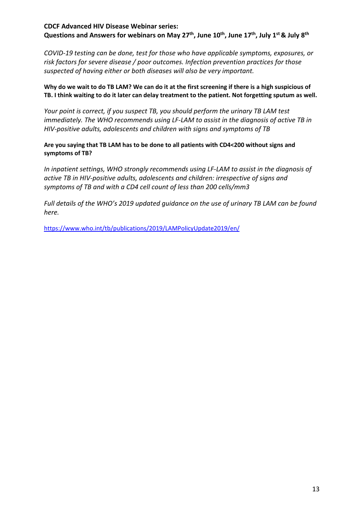*risk factors for severe disease / poor outcomes. Infection prevention practices for those COVID-19 testing can be done, test for those who have applicable symptoms, exposures, or suspected of having either or both diseases will also be very important.* 

## **Why do we wait to do TB LAM? We can do it at the first screening if there is a high suspicious of TB. I think waiting to do it later can delay treatment to the patient. Not forgetting sputum as well.**

*Your point is correct, if you suspect TB, you should perform the urinary TB LAM test immediately. The WHO recommends using LF-LAM to assist in the diagnosis of active TB in HIV-positive adults, adolescents and children with signs and symptoms of TB* 

### **Are you saying that TB LAM has to be done to all patients with CD4<200 without signs and symptoms of TB?**

*In inpatient settings, WHO strongly recommends using LF-LAM to assist in the diagnosis of active TB in HIV-positive adults, adolescents and children: irrespective of signs and symptoms of TB and with a CD4 cell count of less than 200 cells/mm3* 

*Full details of the WHO's 2019 updated guidance on the use of urinary TB LAM can be found here.* 

<https://www.who.int/tb/publications/2019/LAMPolicyUpdate2019/en/>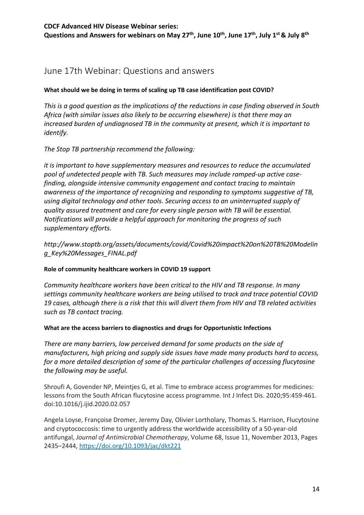# June 17th Webinar: Questions and answers

## **What should we be doing in terms of scaling up TB case identification post COVID?**

 *This is a good question as the implications of the reductions in case finding observed in South Africa (with similar issues also likely to be occurring elsewhere) is that there may an increased burden of undiagnosed TB in the community at present, which it is important to identify.* 

*The Stop TB partnership recommend the following:* 

*it is important to have supplementary measures and resources to reduce the accumulated pool of undetected people with TB. Such measures may include ramped-up active casefinding, alongside intensive community engagement and contact tracing to maintain awareness of the importance of recognizing and responding to symptoms suggestive of TB, using digital technology and other tools. Securing access to an uninterrupted supply of quality assured treatment and care for every single person with TB will be essential. Notifications will provide a helpful approach for monitoring the progress of such supplementary efforts.* 

*<http://www.stoptb.org/assets/documents/covid/Covid%20impact%20on%20TB%20Modelin> g\_Key%20Messages\_FINAL.pdf* 

#### **Role of community healthcare workers in COVID 19 support**

*Community healthcare workers have been critical to the HIV and TB response. In many settings community healthcare workers are being utilised to track and trace potential COVID 19 cases, although there is a risk that this will divert them from HIV and TB related activities such as TB contact tracing.* 

#### **What are the access barriers to diagnostics and drugs for Opportunistic Infections**

 *manufacturers, high pricing and supply side issues have made many products hard to access, There are many barriers, low perceived demand for some products on the side of for a more detailed description of some of the particular challenges of accessing flucytosine the following may be useful.* 

Shroufi A, Govender NP, Meintjes G, et al. Time to embrace access programmes for medicines: lessons from the South African flucytosine access programme. Int J Infect Dis. 2020;95:459-461. doi:10.1016/j.ijid.2020.02.057

 antifungal, *Journal of Antimicrobial Chemotherapy*, Volume 68, Issue 11, November 2013, Pages Angela Loyse, Françoise Dromer, Jeremy Day, Olivier Lortholary, Thomas S. Harrison, Flucytosine and cryptococcosis: time to urgently address the worldwide accessibility of a 50-year-old 2435–2444,<https://doi.org/10.1093/jac/dkt221>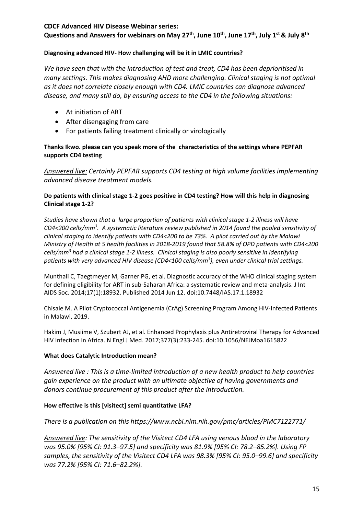Questions and Answers for webinars on May 27<sup>th</sup>, June 10<sup>th</sup>, June 17<sup>th</sup>, July 1<sup>st</sup> & July 8<sup>th</sup>

## **Diagnosing advanced HIV- How challenging will be it in LMIC countries?**

*We have seen that with the introduction of test and treat, CD4 has been deprioritised in many settings. This makes diagnosing AHD more challenging. Clinical staging is not optimal as it does not correlate closely enough with CD4. LMIC countries can diagnose advanced disease, and many still do, by ensuring access to the CD4 in the following situations:* 

- At initiation of ART
- After disengaging from care
- For patients failing treatment clinically or virologically

## **Thanks Ikwo. please can you speak more of the characteristics of the settings where PEPFAR supports CD4 testing**

*Answered live: Certainly PEPFAR supports CD4 testing at high volume facilities implementing advanced disease treatment models.* 

## **Do patients with clinical stage 1-2 goes positive in CD4 testing? How will this help in diagnosing Clinical stage 1-2?**

 *clinical staging to identify patients with CD4<200 to be 73%. A pilot carried out by the Malawi*  patients with very advanced HIV disease (CD4<100 cells/mm<sup>3</sup>), even under clinical trial settings. *Studies have shown that a large proportion of patients with clinical stage 1-2 illness will have CD4<200 cells/mm3 . A systematic literature review published in 2014 found the pooled sensitivity of Ministry of Health at 5 health facilities in 2018-2019 found that 58.8% of OPD patients with CD4<200 cells/mm3 had a clinical stage 1-2 illness. Clinical staging is also poorly sensitive in identifying* 

 Munthali C, Taegtmeyer M, Garner PG, et al. Diagnostic accuracy of the WHO clinical staging system for defining eligibility for ART in sub-Saharan Africa: a systematic review and meta-analysis. J Int AIDS Soc. 2014;17(1):18932. Published 2014 Jun 12. doi:10.7448/IAS.17.1.18932

 Chisale M. A Pilot Cryptococcal Antigenemia (CrAg) Screening Program Among HIV-Infected Patients in Malawi, 2019.

 Hakim J, Musiime V, Szubert AJ, et al. Enhanced Prophylaxis plus Antiretroviral Therapy for Advanced HIV Infection in Africa. N Engl J Med. 2017;377(3):233-245. doi:10.1056/NEJMoa1615822

## **What does Catalytic Introduction mean?**

 *gain experience on the product with an ultimate objective of having governments and Answered live : This is a time-limited introduction of a new health product to help countries donors continue procurement of this product after the introduction.* 

## **How effective is this [visitect] semi quantitative LFA?**

*There is a publication on thi[s https://www.ncbi.nlm.nih.gov/pmc/articles/PMC7122771/](https://www.ncbi.nlm.nih.gov/pmc/articles/PMC7122771/)* 

*Answered live: The sensitivity of the Visitect CD4 LFA using venous blood in the laboratory was 95.0% [95% CI: 91.3–97.5] and specificity was 81.9% [95% CI: 78.2–85.2%]. Using FP samples, the sensitivity of the Visitect CD4 LFA was 98.3% [95% CI: 95.0–99.6] and specificity was 77.2% [95% CI: 71.6–82.2%].*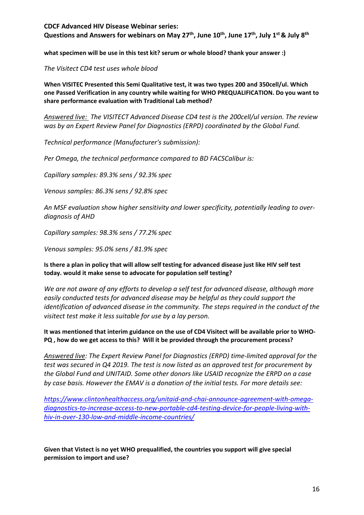Questions and Answers for webinars on May 27<sup>th</sup>, June 10<sup>th</sup>, June 17<sup>th</sup>, July 1<sup>st</sup> & July 8<sup>th</sup>

 **what specimen will be use in this test kit? serum or whole blood? thank your answer :)** 

*The Visitect CD4 test uses whole blood* 

 **When VISITEC Presented this Semi Qualitative test, it was two types 200 and 350cell/ul. Which one Passed Verification in any country while waiting for WHO PREQUALIFICATION. Do you want to share performance evaluation with Traditional Lab method?** 

*Answered live: The VISITECT Advanced Disease CD4 test is the 200cell/ul version. The review was by an Expert Review Panel for Diagnostics (ERPD) coordinated by the Global Fund.* 

**Technical performance (Manufacturer's submission):** 

*Per Omega, the technical performance compared to BD FACSCalibur is:* 

*Capillary samples: 89.3% sens / 92.3% spec* 

*Venous samples: 86.3% sens / 92.8% spec* 

*An MSF evaluation show higher sensitivity and lower specificity, potentially leading to overdiagnosis of AHD* 

*Capillary samples: 98.3% sens / 77.2% spec* 

*Venous samples: 95.0% sens / 81.9% spec* 

 **Is there a plan in policy that will allow self testing for advanced disease just like HIV self test today. would it make sense to advocate for population self testing?** 

*We are not aware of any efforts to develop a self test for advanced disease, although more easily conducted tests for advanced disease may be helpful as they could support the identification of advanced disease in the community. The steps required in the conduct of the visitect test make it less suitable for use by a lay person.* 

 **It was mentioned that interim guidance on the use of CD4 Visitect will be available prior to WHO- PQ , how do we get access to this? Will it be provided through the procurement process?** 

*Answered live: The Expert Review Panel for Diagnostics (ERPD) time-limited approval for the test was secured in Q4 2019. The test is now listed as an approved test for procurement by the Global Fund and UNITAID. Some other donors like USAID recognize the ERPD on a case by case basis. However the EMAV is a donation of the initial tests. For more details see:* 

*[https://www.clintonhealthaccess.org/unitaid-and-chai-announce-agreement-with-omega](https://www.clintonhealthaccess.org/unitaid-and-chai-announce-agreement-with-omega-diagnostics-to-increase-access-to-new-portable-cd4-testing-device-for-people-living-with-hiv-in-over-130-low-and-middle-income-countries/)[diagnostics-to-increase-access-to-new-portable-cd4-testing-device-for-people-living-with](https://www.clintonhealthaccess.org/unitaid-and-chai-announce-agreement-with-omega-diagnostics-to-increase-access-to-new-portable-cd4-testing-device-for-people-living-with-hiv-in-over-130-low-and-middle-income-countries/)[hiv-in-over-130-low-and-middle-income-countries/](https://www.clintonhealthaccess.org/unitaid-and-chai-announce-agreement-with-omega-diagnostics-to-increase-access-to-new-portable-cd4-testing-device-for-people-living-with-hiv-in-over-130-low-and-middle-income-countries/)* 

 **Given that Vistect is no yet WHO prequalified, the countries you support will give special permission to import and use?**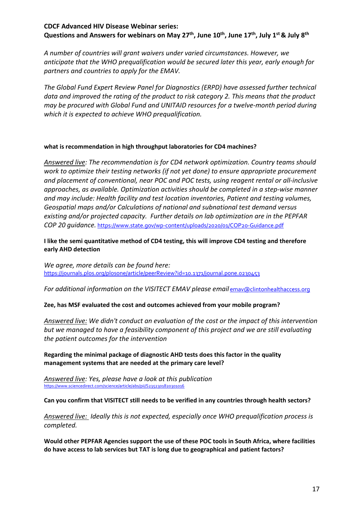*A number of countries will grant waivers under varied circumstances. However, we anticipate that the WHO prequalification would be secured later this year, early enough for partners and countries to apply for the EMAV.* 

 *data and improved the rating of the product to risk category 2. This means that the product The Global Fund Expert Review Panel for Diagnostics (ERPD) have assessed further technical may be procured with Global Fund and UNITAID resources for a twelve-month period during which it is expected to achieve WHO prequalification.* 

#### **what is recommendation in high throughput laboratories for CD4 machines?**

 *existing and/or projected capacity. Further details on lab optimization are in the PEPFAR Answered live: The recommendation is for CD4 network optimization. Country teams should work to optimize their testing networks (if not yet done) to ensure appropriate procurement and placement of conventional, near POC and POC tests, using reagent rental or all-inclusive approaches, as available. Optimization activities should be completed in a step-wise manner and may include: Health facility and test location inventories, Patient and testing volumes, Geospatial maps and/or Calculations of national and subnational test demand versus COP 20 guidance.* <https://www.state.gov/wp-content/uploads/2020/01/COP20-Guidance.pdf>

 **I like the semi quantitative method of CD4 testing, this will improve CD4 testing and therefore early AHD detection** 

*We agree, more details can be found here:*  <https://journals.plos.org/plosone/article/peerReview?id=10.1371/journal.pone.0230453>

*For additional information on the VISITECT EMAV please email emav@clintonhealthaccess.org* 

#### **Zee, has MSF evaluated the cost and outcomes achieved from your mobile program?**

*Answered live: We didn't conduct an evaluation of the cost or the impact of this intervention but we managed to have a feasibility component of this project and we are still evaluating the patient outcomes for the intervention* 

 **Regarding the minimal package of diagnostic AHD tests does this factor in the quality management systems that are needed at the primary care level?** 

*Answered live: Yes, please have a look at this publication*  <https://www.sciencedirect.com/science/article/abs/pii/S2352301820301016>

 **Can you confirm that VISITECT still needs to be verified in any countries through health sectors?** 

*Answered live: Ideally this is not expected, especially once WHO prequalification process is completed.* 

 **do have access to lab services but TAT is long due to geographical and patient factors? Would other PEPFAR Agencies support the use of these POC tools in South Africa, where facilities**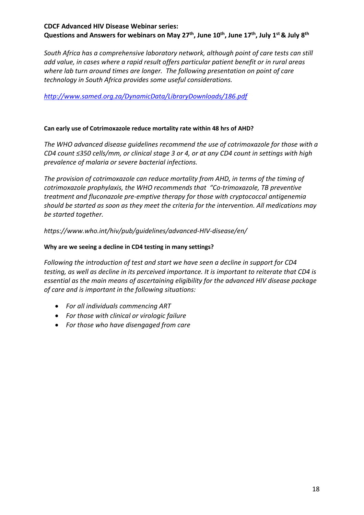*South Africa has a comprehensive laboratory network, although point of care tests can still add value, in cases where a rapid result offers particular patient benefit or in rural areas where lab turn around times are longer. The following presentation on point of care technology in South Africa provides some useful considerations.* 

## *<http://www.samed.org.za/DynamicData/LibraryDownloads/186.pdf>*

### **Can early use of Cotrimoxazole reduce mortality rate within 48 hrs of AHD?**

 *CD4 count ≤350 cells/mm, or clinical stage 3 or 4, or at any CD4 count in settings with high The WHO advanced disease guidelines recommend the use of cotrimoxazole for those with a prevalence of malaria or severe bacterial infections.* 

*The provision of cotrimoxazole can reduce mortality from AHD, in terms of the timing of cotrimoxazole prophylaxis, the WHO recommends that "Co-trimoxazole, TB preventive treatment and fluconazole pre-emptive therapy for those with cryptococcal antigenemia should be started as soon as they meet the criteria for the intervention. All medications may be started together.* 

*[https://www.who.int/hiv/pub/guidelines/advanced-HIV-disease/en/](https://www.who.int/hiv/pub/guidelines/advanced-HIV-disease/en)* 

#### **Why are we seeing a decline in CD4 testing in many settings?**

*Following the introduction of test and start we have seen a decline in support for CD4 testing, as well as decline in its perceived importance. It is important to reiterate that CD4 is essential as the main means of ascertaining eligibility for the advanced HIV disease package of care and is important in the following situations:* 

- *For all individuals commencing ART*
- *For those with clinical or virologic failure*
- *For those who have disengaged from care*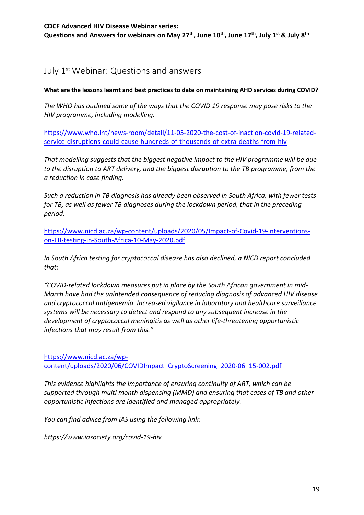# July 1st Webinar: Questions and answers

 **What are the lessons learnt and best practices to date on maintaining AHD services during COVID?** 

*The WHO has outlined some of the ways that the COVID 19 response may pose risks to the HIV programme, including modelling.* 

[https://www.who.int/news-room/detail/11-05-2020-the-cost-of-inaction-covid-19-related](https://www.who.int/news-room/detail/11-05-2020-the-cost-of-inaction-covid-19-related-service-disruptions-could-cause-hundreds-of-thousands-of-extra-deaths-from-hiv)[service-disruptions-could-cause-hundreds-of-thousands-of-extra-deaths-from-hiv](https://www.who.int/news-room/detail/11-05-2020-the-cost-of-inaction-covid-19-related-service-disruptions-could-cause-hundreds-of-thousands-of-extra-deaths-from-hiv) 

*That modelling suggests that the biggest negative impact to the HIV programme will be due to the disruption to ART delivery, and the biggest disruption to the TB programme, from the a reduction in case finding.* 

*Such a reduction in TB diagnosis has already been observed in South Africa, with fewer tests for TB, as well as fewer TB diagnoses during the lockdown period, that in the preceding period.* 

[https://www.nicd.ac.za/wp-content/uploads/2020/05/Impact-of-Covid-19-interventions](https://www.nicd.ac.za/wp-content/uploads/2020/05/Impact-of-Covid-19-interventions-on-TB-testing-in-South-Africa-10-May-2020.pdf)[on-TB-testing-in-South-Africa-10-May-2020.pdf](https://www.nicd.ac.za/wp-content/uploads/2020/05/Impact-of-Covid-19-interventions-on-TB-testing-in-South-Africa-10-May-2020.pdf) 

*In South Africa testing for cryptococcal disease has also declined, a NICD report concluded that:* 

*"COVID-related lockdown measures put in place by the South African government in mid-March have had the unintended consequence of reducing diagnosis of advanced HIV disease and cryptococcal antigenemia. Increased vigilance in laboratory and healthcare surveillance systems will be necessary to detect and respond to any subsequent increase in the development of cryptococcal meningitis as well as other life-threatening opportunistic infections that may result from this."* 

[https://www.nicd.ac.za/wp](https://www.nicd.ac.za/wp-content/uploads/2020/06/COVIDImpact_CryptoScreening_2020-06_15-002.pdf)[content/uploads/2020/06/COVIDImpact\\_CryptoScreening\\_2020-06\\_15-002.pdf](https://www.nicd.ac.za/wp-content/uploads/2020/06/COVIDImpact_CryptoScreening_2020-06_15-002.pdf) 

*This evidence highlights the importance of ensuring continuity of ART, which can be supported through multi month dispensing (MMD) and ensuring that cases of TB and other opportunistic infections are identified and managed appropriately.* 

*You can find advice from IAS using the following link:* 

*<https://www.iasociety.org/covid-19-hiv>*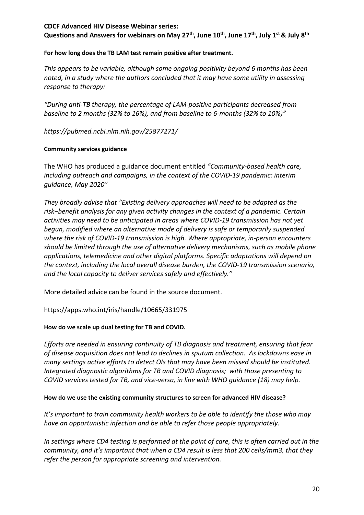Questions and Answers for webinars on May 27<sup>th</sup>, June 10<sup>th</sup>, June 17<sup>th</sup>, July 1<sup>st</sup> & July 8<sup>th</sup>

#### **For how long does the TB LAM test remain positive after treatment.**

*This appears to be variable, although some ongoing positivity beyond 6 months has been noted, in a study where the authors concluded that it may have some utility in assessing response to therapy:* 

*"During anti-TB therapy, the percentage of LAM-positive participants decreased from baseline to 2 months (32% to 16%), and from baseline to 6-months (32% to 10%)"* 

*<https://pubmed.ncbi.nlm.nih.gov/25877271>/* 

## **Community services guidance**

The WHO has produced a guidance document entitled *"Community-based health care, including outreach and campaigns, in the context of the COVID-19 pandemic: interim guidance, May 2020"* 

 *risk−benefit analysis for any given activity changes in the context of a pandemic. Certain activities may need to be anticipated in areas where COVID-19 transmission has not yet They broadly advise that "Existing delivery approaches will need to be adapted as the begun, modified where an alternative mode of delivery is safe or temporarily suspended where the risk of COVID-19 transmission is high. Where appropriate, in-person encounters should be limited through the use of alternative delivery mechanisms, such as mobile phone applications, telemedicine and other digital platforms. Specific adaptations will depend on the context, including the local overall disease burden, the COVID-19 transmission scenario, and the local capacity to deliver services safely and effectively."* 

More detailed advice can be found in the source document.

<https://apps.who.int/iris/handle/10665/331975>

#### **How do we scale up dual testing for TB and COVID.**

 *COVID services tested for TB, and vice-versa, in line with WHO guidance (18) may help. Efforts are needed in ensuring continuity of TB diagnosis and treatment, ensuring that fear of disease acquisition does not lead to declines in sputum collection. As lockdowns ease in many settings active efforts to detect OIs that may have been missed should be instituted. Integrated diagnostic algorithms for TB and COVID diagnosis; with those presenting to* 

#### **How do we use the existing community structures to screen for advanced HIV disease?**

*It's important to train community health workers to be able to identify the those who may have an opportunistic infection and be able to refer those people appropriately.* 

 *community, and it's important that when a CD4 result is less that 200 cells/mm3, that they In settings where CD4 testing is performed at the point of care, this is often carried out in the refer the person for appropriate screening and intervention.*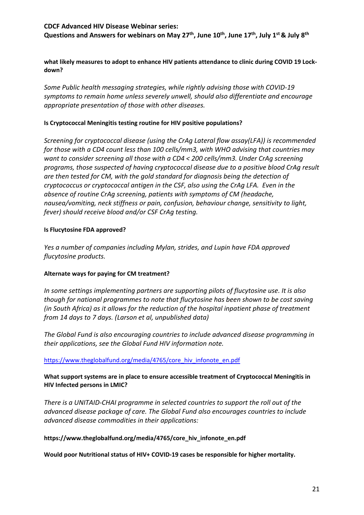Questions and Answers for webinars on May 27<sup>th</sup>, June 10<sup>th</sup>, June 17<sup>th</sup>, July 1<sup>st</sup> & July 8<sup>th</sup>

 **what likely measures to adopt to enhance HIV patients attendance to clinic during COVID 19 Lockdown?** 

*Some Public health messaging strategies, while rightly advising those with COVID-19 symptoms to remain home unless severely unwell, should also differentiate and encourage appropriate presentation of those with other diseases.* 

#### **Is Cryptococcal Meningitis testing routine for HIV positive populations?**

 *are then tested for CM, with the gold standard for diagnosis being the detection of cryptococcus or cryptococcal antigen in the CSF, also using the CrAg LFA. Even in the absence of routine CrAg screening, patients with symptoms of CM (headache, Screening for cryptococcal disease (using the CrAg Lateral flow assay(LFA)) is recommended for those with a CD4 count less than 100 cells/mm3, with WHO advising that countries may want to consider screening all those with a CD4 < 200 cells/mm3. Under CrAg screening programs, those suspected of having cryptococcal disease due to a positive blood CrAg result nausea/vomiting, neck stiffness or pain, confusion, behaviour change, sensitivity to light, fever) should receive blood and/or CSF CrAg testing.* 

#### **Is Flucytosine FDA approved?**

*Yes a number of companies including Mylan, strides, and Lupin have FDA approved flucytosine products.* 

#### **Alternate ways for paying for CM treatment?**

*In some settings implementing partners are supporting pilots of flucytosine use. It is also though for national programmes to note that flucytosine has been shown to be cost saving (in South Africa) as it allows for the reduction of the hospital inpatient phase of treatment from 14 days to 7 days. (Larson et al, unpublished data)* 

 *their applications, see the Global Fund HIV information note. The Global Fund is also encouraging countries to include advanced disease programming in* 

#### https://www.theglobalfund.org/media/4765/core\_hiv\_infonote\_en.pdf

#### **What support systems are in place to ensure accessible treatment of Cryptococcal Meningitis in HIV Infected persons in LMIC?**

 *There is a UNITAID-CHAI programme in selected countries to support the roll out of the advanced disease package of care. The Global Fund also encourages countries to include advanced disease commodities in their applications:* 

#### **[https://www.theglobalfund.org/media/4765/core\\_hiv\\_infonote\\_en.pdf](https://www.theglobalfund.org/media/4765/core_hiv_infonote_en.pdf)**

**Would poor Nutritional status of HIV+ COVID-19 cases be responsible for higher mortality.**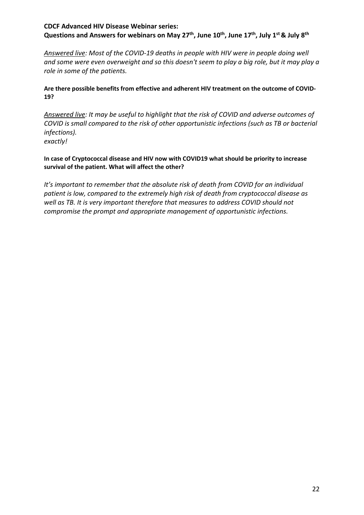*Answered live: Most of the COVID-19 deaths in people with HIV were in people doing well and some were even overweight and so this doesn't seem to play a big role, but it may play a role in some of the patients.* 

## **Are there possible benefits from effective and adherent HIV treatment on the outcome of COVID-19?**

 *infections). exactly! Answered live: It may be useful to highlight that the risk of COVID and adverse outcomes of COVID is small compared to the risk of other opportunistic infections (such as TB or bacterial* 

## **In case of Cryptococcal disease and HIV now with COVID19 what should be priority to increase survival of the patient. What will affect the other?**

*It's important to remember that the absolute risk of death from COVID for an individual patient is low, compared to the extremely high risk of death from cryptococcal disease as well as TB. It is very important therefore that measures to address COVID should not compromise the prompt and appropriate management of opportunistic infections.*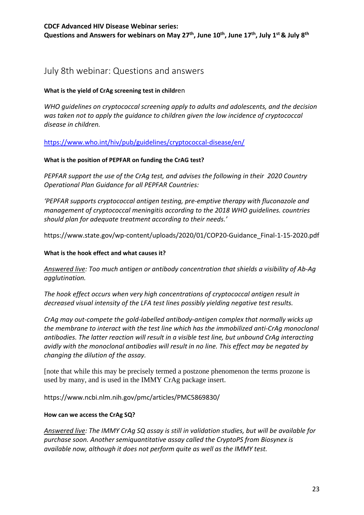# July 8th webinar: Questions and answers

## **What is the yield of CrAg screening test in childr**en

*WHO guidelines on cryptococcal screening apply to adults and adolescents, and the decision was taken not to apply the guidance to children given the low incidence of cryptococcal disease in children.* 

<https://www.who.int/hiv/pub/guidelines/cryptococcal-disease/en/>

## **What is the position of PEPFAR on funding the CrAG test?**

*PEPFAR support the use of the CrAg test, and advises the following in their 2020 Country Operational Plan Guidance for all PEPFAR Countries:* 

 *'PEPFAR supports cryptococcal antigen testing, pre-emptive therapy with fluconazole and should plan for adequate treatment according to their needs.' management of cryptococcal meningitis according to the 2018 WHO guidelines. countries* 

[https://www.state.gov/wp-content/uploads/2020/01/COP20-Guidance\\_Final-1-15-2020.pdf](https://www.state.gov/wp-content/uploads/2020/01/COP20-Guidance_Final-1-15-2020.pdf)

## **What is the hook effect and what causes it?**

*<u>agglutination</u>*. *Answered live: Too much antigen or antibody concentration that shields a visibility of Ab-Ag* 

The hook effect occurs when very high concentrations of cryptococcal antigen result in *decreased visual intensity of the LFA test lines possibly yielding negative test results.* 

*CrAg may out-compete the gold-labelled antibody-antigen complex that normally wicks up the membrane to interact with the test line which has the immobilized anti-CrAg monoclonal antibodies. The latter reaction will result in a visible test line, but unbound CrAg interacting avidly with the monoclonal antibodies will result in no line. This effect may be negated by changing the dilution of the assay.* 

[note that while this may be precisely termed a postzone phenomenon the terms prozone is used by many, and is used in the IMMY CrAg package insert.

[https://www.ncbi.nlm.nih.gov/pmc/articles/PMC5869830/](https://www.ncbi.nlm.nih.gov/pmc/articles/PMC5869830)

#### **How can we access the CrAg SQ?**

*Answered live: The IMMY CrAg SQ assay is still in validation studies, but will be available for purchase soon. Another semiquantitative assay called the CryptoPS from Biosynex is available now, although it does not perform quite as well as the IMMY test.*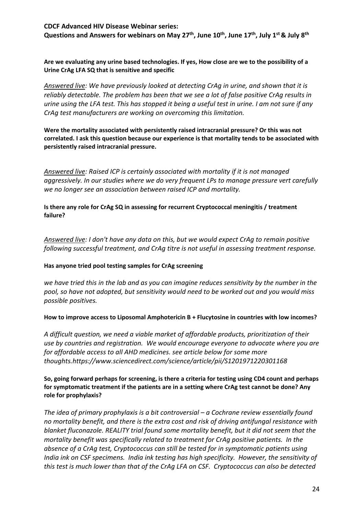Questions and Answers for webinars on May 27<sup>th</sup>, June 10<sup>th</sup>, June 17<sup>th</sup>, July 1<sup>st</sup> & July 8<sup>th</sup>

 **Are we evaluating any urine based technologies. If yes, How close are we to the possibility of a Urine CrAg LFA SQ that is sensitive and specific** 

 *urine using the LFA test. This has stopped it being a useful test in urine. I am not sure if any Answered live: We have previously looked at detecting CrAg in urine, and shown that it is reliably detectable. The problem has been that we see a lot of false positive CrAg results in CrAg test manufacturers are working on overcoming this limitation.* 

 **Were the mortality associated with persistently raised intracranial pressure? Or this was not correlated. I ask this question because our experience is that mortality tends to be associated with persistently raised intracranial pressure.** 

*Answered live: Raised ICP is certainly associated with mortality if it is not managed aggressively. In our studies where we do very frequent LPs to manage pressure vert carefully we no longer see an association between raised ICP and mortality.* 

**Is there any role for CrAg SQ in assessing for recurrent Cryptococcal meningitis / treatment failure?** 

*Answered live: I don't have any data on this, but we would expect CrAg to remain positive following successful treatment, and CrAg titre is not useful in assessing treatment response.* 

#### **Has anyone tried pool testing samples for CrAg screening**

 *pool, so have not adopted, but sensitivity would need to be worked out and you would miss we have tried this in the lab and as you can imagine reduces sensitivity by the number in the possible positives.* 

#### **How to improve access to Liposomal Amphotericin B + Flucytosine in countries with low incomes?**

*A difficult question, we need a viable market of affordable products, prioritization of their use by countries and registration. We would encourage everyone to advocate where you are for affordable access to all AHD medicines. see article below for some more thoughts[.https://www.sciencedirect.com/science/article/pii/S1201971220301168](https://www.sciencedirect.com/science/article/pii/S1201971220301168)* 

#### **So, going forward perhaps for screening, is there a criteria for testing using CD4 count and perhaps for symptomatic treatment if the patients are in a setting where CrAg test cannot be done? Any role for prophylaxis?**

 *mortality benefit was specifically related to treatment for CrAg positive patients. In the India ink on CSF specimens. India ink testing has high specificity. However, the sensitivity of this test is much lower than that of the CrAg LFA on CSF. Cryptococcus can also be detected The idea of primary prophylaxis is a bit controversial – a Cochrane review essentially found no mortality benefit, and there is the extra cost and risk of driving antifungal resistance with blanket fluconazole. REALITY trial found some mortality benefit, but it did not seem that the absence of a CrAg test, Cryptococcus can still be tested for in symptomatic patients using*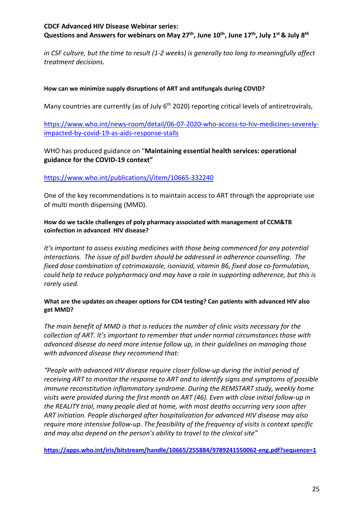*in CSF culture, but the time to result (1-2 weeks) is generally too long to meaningfully affect treatment decisions.* 

## **How can we minimize supply disruptions of ART and antifungals during COVID?**

Many countries are currently (as of July 6<sup>th</sup> 2020) reporting critical levels of antiretrovirals,

[https://www.who.int/news-room/detail/06-07-2020-who-access-to-hiv-medicines-severely](https://www.who.int/news-room/detail/06-07-2020-who-access-to-hiv-medicines-severely-impacted-by-covid-19-as-aids-response-stalls)[impacted-by-covid-19-as-aids-response-stalls](https://www.who.int/news-room/detail/06-07-2020-who-access-to-hiv-medicines-severely-impacted-by-covid-19-as-aids-response-stalls) 

WHO has produced guidance on "**Maintaining essential health services: operational guidance for the COVID-19 context"** 

## <https://www.who.int/publications/i/item/10665-332240>

One of the key recommendations is to maintain access to ART through the appropriate use of multi month dispensing (MMD).

## **coinfection in advanced HIV disease? How do we tackle challenges of poly pharmacy associated with management of CCM&TB**

*It's important to assess existing medicines with those being commenced for any potential interactions. The issue of pill burden should be addressed in adherence counselling. The fixed dose combination of cotrimoxazole, isoniazid, vitamin B6, fixed dose co-formulation, could help to reduce polypharmacy and may have a role in supporting adherence, but this is rarely used.* 

#### **What are the updates on cheaper options for CD4 testing? Can patients with advanced HIV also get MMD?**

*The main benefit of MMD is that is reduces the number of clinic visits necessary for the collection of ART. It's important to remember that under normal circumstances those with advanced disease do need more intense follow up, in their guidelines on managing those with advanced disease they recommend that:* 

*"People with advanced HIV disease require closer follow-up during the initial period of receiving ART to monitor the response to ART and to identify signs and symptoms of possible immune reconstitution inflammatory syndrome. During the REMSTART study, weekly home visits were provided during the first month on ART (46). Even with close initial follow-up in the REALITY trial, many people died at home, with most deaths occurring very soon after ART initiation. People discharged after hospitalization for advanced HIV disease may also require more intensive follow-up. The feasibility of the frequency of visits is context specific and may also depend on the person's ability to travel to the clinical site"* 

**<https://apps.who.int/iris/bitstream/handle/10665/255884/9789241550062-eng.pdf?sequence=1>**